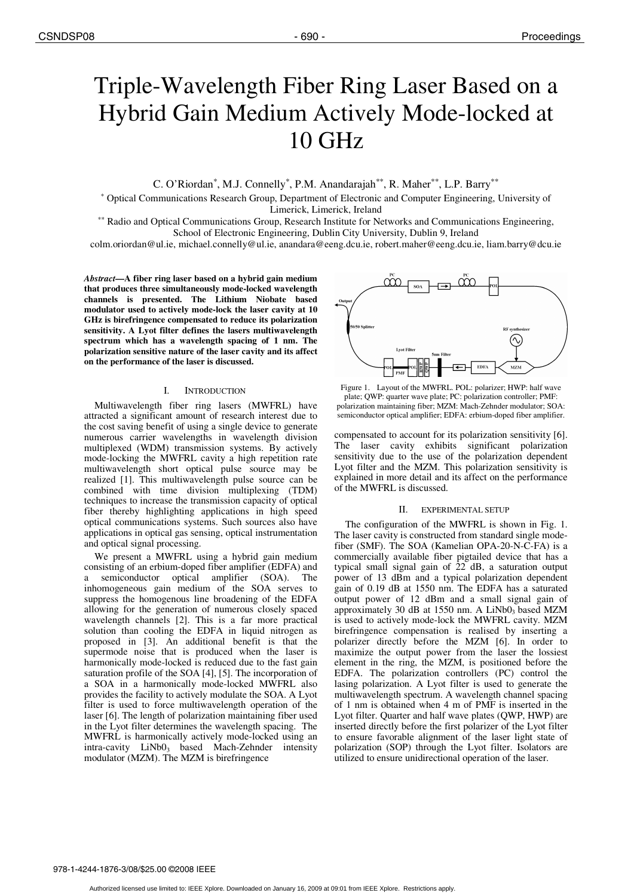# Triple-Wavelength Fiber Ring Laser Based on a Hybrid Gain Medium Actively Mode-locked at 10 GHz

C. O'Riordan\*, M.J. Connelly\*, P.M. Anandarajah\*\*, R. Maher\*\*, L.P. Barry\*\*

\* Optical Communications Research Group, Department of Electronic and Computer Engineering, University of Limerick, Limerick, Ireland

\*\* Radio and Optical Communications Group, Research Institute for Networks and Communications Engineering, School of Electronic Engineering, Dublin City University, Dublin 9, Ireland

colm.oriordan@ul.ie, michael.connelly@ul.ie, anandara@eeng.dcu.ie, robert.maher@eeng.dcu.ie, liam.barry@dcu.ie

*Abstract***—A fiber ring laser based on a hybrid gain medium that produces three simultaneously mode-locked wavelength channels is presented. The Lithium Niobate based modulator used to actively mode-lock the laser cavity at 10 GHz is birefringence compensated to reduce its polarization sensitivity. A Lyot filter defines the lasers multiwavelength spectrum which has a wavelength spacing of 1 nm. The polarization sensitive nature of the laser cavity and its affect on the performance of the laser is discussed.** 

## I. INTRODUCTION

Multiwavelength fiber ring lasers (MWFRL) have attracted a significant amount of research interest due to the cost saving benefit of using a single device to generate numerous carrier wavelengths in wavelength division multiplexed (WDM) transmission systems. By actively mode-locking the MWFRL cavity a high repetition rate multiwavelength short optical pulse source may be realized [1]. This multiwavelength pulse source can be combined with time division multiplexing (TDM) techniques to increase the transmission capacity of optical fiber thereby highlighting applications in high speed optical communications systems. Such sources also have applications in optical gas sensing, optical instrumentation and optical signal processing.

We present a MWFRL using a hybrid gain medium consisting of an erbium-doped fiber amplifier (EDFA) and semiconductor optical amplifier (SOA). The inhomogeneous gain medium of the SOA serves to suppress the homogenous line broadening of the EDFA allowing for the generation of numerous closely spaced wavelength channels [2]. This is a far more practical solution than cooling the EDFA in liquid nitrogen as proposed in [3]. An additional benefit is that the supermode noise that is produced when the laser is harmonically mode-locked is reduced due to the fast gain saturation profile of the SOA [4], [5]. The incorporation of a SOA in a harmonically mode-locked MWFRL also provides the facility to actively modulate the SOA. A Lyot filter is used to force multiwavelength operation of the laser [6]. The length of polarization maintaining fiber used in the Lyot filter determines the wavelength spacing. The MWFRL is harmonically actively mode-locked using an  $intra-cavity$   $LiNbO<sub>3</sub>$  based Mach-Zehnder intensity modulator (MZM). The MZM is birefringence



Figure 1. Layout of the MWFRL. POL: polarizer; HWP: half wave plate; QWP: quarter wave plate; PC: polarization controller; PMF: polarization maintaining fiber; MZM: Mach-Zehnder modulator; SOA: semiconductor optical amplifier; EDFA: erbium-doped fiber amplifier.

compensated to account for its polarization sensitivity [6]. The laser cavity exhibits significant polarization sensitivity due to the use of the polarization dependent Lyot filter and the MZM. This polarization sensitivity is explained in more detail and its affect on the performance of the MWFRL is discussed.

## II. EXPERIMENTAL SETUP

The configuration of the MWFRL is shown in Fig. 1. The laser cavity is constructed from standard single modefiber (SMF). The SOA (Kamelian OPA-20-N-C-FA) is a commercially available fiber pigtailed device that has a typical small signal gain of 22 dB, a saturation output power of 13 dBm and a typical polarization dependent gain of 0.19 dB at 1550 nm. The EDFA has a saturated output power of 12 dBm and a small signal gain of approximately 30 dB at 1550 nm. A LiNb0<sub>3</sub> based MZM is used to actively mode-lock the MWFRL cavity. MZM birefringence compensation is realised by inserting a polarizer directly before the MZM [6]. In order to maximize the output power from the laser the lossiest element in the ring, the MZM, is positioned before the EDFA. The polarization controllers (PC) control the lasing polarization. A Lyot filter is used to generate the multiwavelength spectrum. A wavelength channel spacing of 1 nm is obtained when 4 m of PMF is inserted in the Lyot filter. Quarter and half wave plates (QWP, HWP) are inserted directly before the first polarizer of the Lyot filter to ensure favorable alignment of the laser light state of polarization (SOP) through the Lyot filter. Isolators are utilized to ensure unidirectional operation of the laser.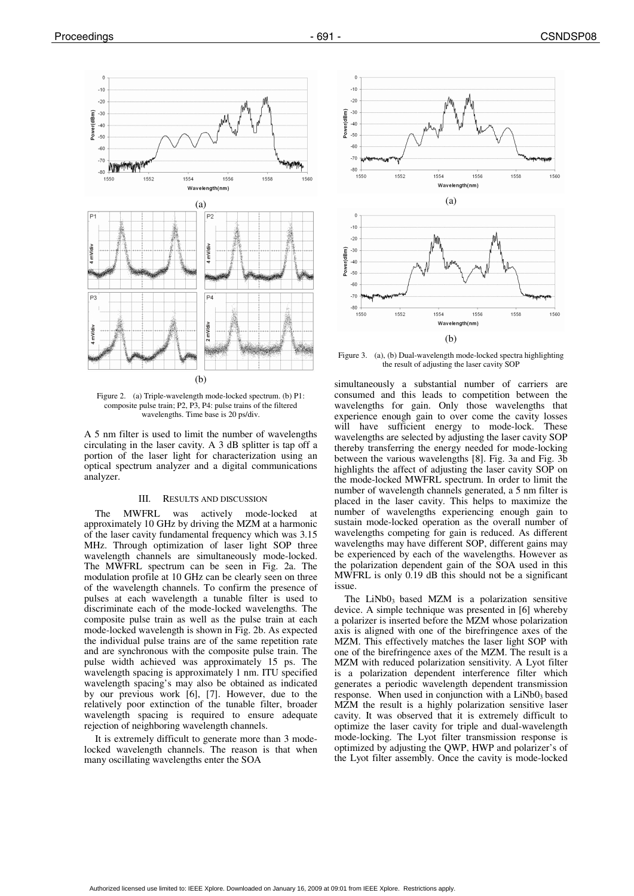

Figure 2. (a) Triple-wavelength mode-locked spectrum. (b) P1: composite pulse train; P2, P3, P4: pulse trains of the filtered wavelengths. Time base is 20 ps/div.

A 5 nm filter is used to limit the number of wavelengths circulating in the laser cavity. A 3 dB splitter is tap off a portion of the laser light for characterization using an optical spectrum analyzer and a digital communications analyzer.

## III. RESULTS AND DISCUSSION

The MWFRL was actively mode-locked at approximately 10 GHz by driving the MZM at a harmonic of the laser cavity fundamental frequency which was 3.15 MHz. Through optimization of laser light SOP three wavelength channels are simultaneously mode-locked. The MWFRL spectrum can be seen in Fig. 2a. The modulation profile at 10 GHz can be clearly seen on three of the wavelength channels. To confirm the presence of pulses at each wavelength a tunable filter is used to discriminate each of the mode-locked wavelengths. The composite pulse train as well as the pulse train at each mode-locked wavelength is shown in Fig. 2b. As expected the individual pulse trains are of the same repetition rate and are synchronous with the composite pulse train. The pulse width achieved was approximately 15 ps. The wavelength spacing is approximately 1 nm. ITU specified wavelength spacing's may also be obtained as indicated by our previous work [6], [7]. However, due to the relatively poor extinction of the tunable filter, broader wavelength spacing is required to ensure adequate rejection of neighboring wavelength channels.

It is extremely difficult to generate more than 3 modelocked wavelength channels. The reason is that when many oscillating wavelengths enter the SOA



Figure 3. (a), (b) Dual-wavelength mode-locked spectra highlighting the result of adjusting the laser cavity SOP

simultaneously a substantial number of carriers are consumed and this leads to competition between the wavelengths for gain. Only those wavelengths that experience enough gain to over come the cavity losses will have sufficient energy to mode-lock. These wavelengths are selected by adjusting the laser cavity SOP thereby transferring the energy needed for mode-locking between the various wavelengths [8]. Fig. 3a and Fig. 3b highlights the affect of adjusting the laser cavity SOP on the mode-locked MWFRL spectrum. In order to limit the number of wavelength channels generated, a 5 nm filter is placed in the laser cavity. This helps to maximize the number of wavelengths experiencing enough gain to sustain mode-locked operation as the overall number of wavelengths competing for gain is reduced. As different wavelengths may have different SOP, different gains may be experienced by each of the wavelengths. However as the polarization dependent gain of the SOA used in this MWFRL is only 0.19 dB this should not be a significant issue.

The  $LiNbO<sub>3</sub>$  based MZM is a polarization sensitive device. A simple technique was presented in [6] whereby a polarizer is inserted before the MZM whose polarization axis is aligned with one of the birefringence axes of the MZM. This effectively matches the laser light SOP with one of the birefringence axes of the MZM. The result is a MZM with reduced polarization sensitivity. A Lyot filter is a polarization dependent interference filter which generates a periodic wavelength dependent transmission response. When used in conjunction with a  $LiNbO<sub>3</sub>$  based MZM the result is a highly polarization sensitive laser cavity. It was observed that it is extremely difficult to optimize the laser cavity for triple and dual-wavelength mode-locking. The Lyot filter transmission response is optimized by adjusting the QWP, HWP and polarizer's of the Lyot filter assembly. Once the cavity is mode-locked